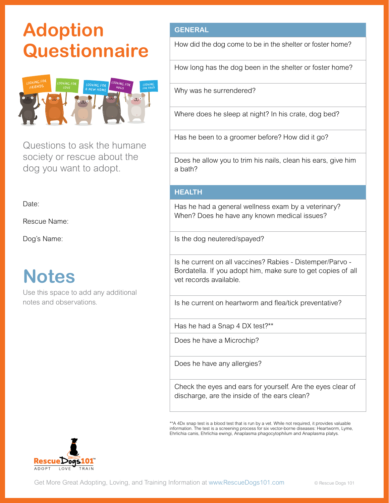# **Adoption Questionnaire**



Questions to ask the humane society or rescue about the dog you want to adopt.

Date:

Rescue Name:

Dog's Name:

### **Notes**

Use this space to add any additional notes and observations.

#### **GENERAL**

How did the dog come to be in the shelter or foster home?

How long has the dog been in the shelter or foster home?

Why was he surrendered?

Where does he sleep at night? In his crate, dog bed?

Has he been to a groomer before? How did it go?

Does he allow you to trim his nails, clean his ears, give him a bath?

#### **HEALTH**

Has he had a general wellness exam by a veterinary? When? Does he have any known medical issues?

Is the dog neutered/spayed?

Is he current on all vaccines? Rabies - Distemper/Parvo - Bordatella. If you adopt him, make sure to get copies of all vet records available.

Is he current on heartworm and flea/tick preventative?

Has he had a Snap 4 DX test?\*\*

Does he have a Microchip?

Does he have any allergies?

Check the eyes and ears for yourself. Are the eyes clear of discharge, are the inside of the ears clean?

\*\*A 4Dx snap test is a blood test that is run by a vet. While not required, it provides valuable information. The test is a screening process for six vector-borne diseases: Heartworm, Lyme, Ehrlichia canis, Ehrlichia ewingi, Anaplasma phagocytophilum and Anaplasma platys.

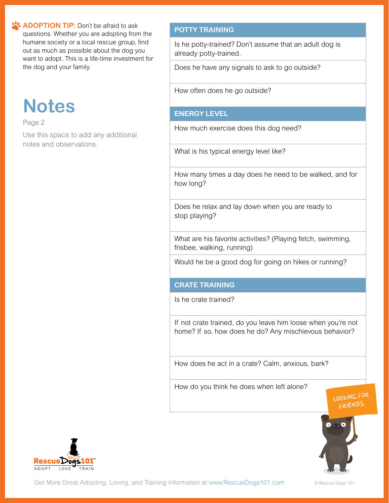**ADOPTION TIP:** Don't be afraid to ask questions. Whether you are adopting from the humane society or a local rescue group, find out as much as possible about the dog you want to adopt. This is a life-time investment for the dog and your family.

# **Notes**

Page 2

Use this space to add any additional notes and observations.

### **POTTY TRAINING**

Is he potty-trained? Don't assume that an adult dog is already potty-trained.

Does he have any signals to ask to go outside?

How often does he go outside?

### **ENERGY LEVEL**

How much exercise does this dog need?

What is his typical energy level like?

How many times a day does he need to be walked, and for how long?

Does he relax and lay down when you are ready to stop playing?

What are his favorite activities? (Playing fetch, swimming, frisbee, walking, running)

Would he be a good dog for going on hikes or running?

#### **CRATE TRAINING**

Is he crate trained?

If not crate trained, do you leave him loose when you're not home? If so, how does he do? Any mischievous behavior?

How does he act in a crate? Calm, anxious, bark?

How do you think he does when left alone?





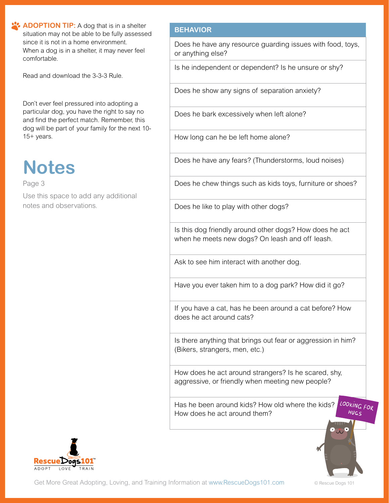**ADOPTION TIP:** A dog that is in a shelter situation may not be able to be fully assessed since it is not in a home environment. When a dog is in a shelter, it may never feel comfortable.

Read and download the 3-3-3 Rule.

Don't ever feel pressured into adopting a particular dog, you have the right to say no and find the perfect match. Remember, this dog will be part of your family for the next 10- 15+ years.

## **Notes**

Page 3

Use this space to add any additional notes and observations.

#### **BEHAVIOR**

Does he have any resource guarding issues with food, toys, or anything else?

Is he independent or dependent? Is he unsure or shy?

Does he show any signs of separation anxiety?

Does he bark excessively when left alone?

How long can he be left home alone?

Does he have any fears? (Thunderstorms, loud noises)

Does he chew things such as kids toys, furniture or shoes?

Does he like to play with other dogs?

Is this dog friendly around other dogs? How does he act when he meets new dogs? On leash and off leash.

Ask to see him interact with another dog.

Have you ever taken him to a dog park? How did it go?

If you have a cat, has he been around a cat before? How does he act around cats?

Is there anything that brings out fear or aggression in him? (Bikers, strangers, men, etc.)

How does he act around strangers? Is he scared, shy, aggressive, or friendly when meeting new people?

LOOKING FOR Has he been around kids? How old where the kids? How does he act around them?



 $HUSS$